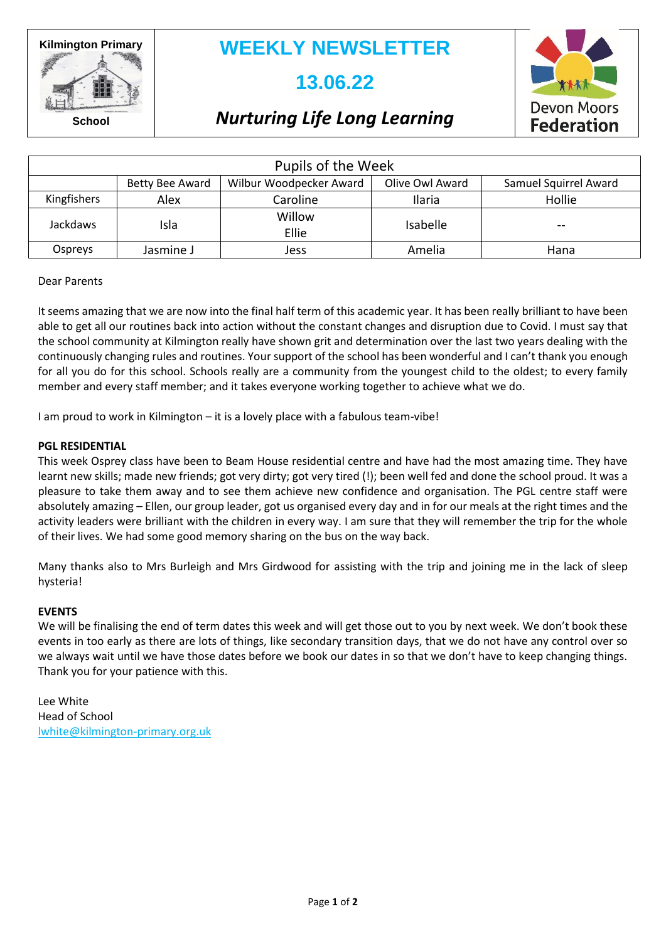**Kilmington Primary**

**WEEKLY NEWSLETTER**

### **13.06.22**



**School**

## *Nurturing Life Long Learning*

| Pupils of the Week |                 |                         |                 |                       |  |
|--------------------|-----------------|-------------------------|-----------------|-----------------------|--|
|                    | Betty Bee Award | Wilbur Woodpecker Award | Olive Owl Award | Samuel Squirrel Award |  |
| Kingfishers        | Alex            | Caroline                | Ilaria          | Hollie                |  |
| Jackdaws           | Isla            | Willow<br>Ellie         | <b>Isabelle</b> |                       |  |
| Ospreys            | Jasmine J       | Jess                    | Amelia          | Hana                  |  |

#### Dear Parents

It seems amazing that we are now into the final half term of this academic year. It has been really brilliant to have been able to get all our routines back into action without the constant changes and disruption due to Covid. I must say that the school community at Kilmington really have shown grit and determination over the last two years dealing with the continuously changing rules and routines. Your support of the school has been wonderful and I can't thank you enough for all you do for this school. Schools really are a community from the youngest child to the oldest; to every family member and every staff member; and it takes everyone working together to achieve what we do.

I am proud to work in Kilmington – it is a lovely place with a fabulous team-vibe!

#### **PGL RESIDENTIAL**

This week Osprey class have been to Beam House residential centre and have had the most amazing time. They have learnt new skills; made new friends; got very dirty; got very tired (!); been well fed and done the school proud. It was a pleasure to take them away and to see them achieve new confidence and organisation. The PGL centre staff were absolutely amazing – Ellen, our group leader, got us organised every day and in for our meals at the right times and the activity leaders were brilliant with the children in every way. I am sure that they will remember the trip for the whole of their lives. We had some good memory sharing on the bus on the way back.

Many thanks also to Mrs Burleigh and Mrs Girdwood for assisting with the trip and joining me in the lack of sleep hysteria!

#### **EVENTS**

We will be finalising the end of term dates this week and will get those out to you by next week. We don't book these events in too early as there are lots of things, like secondary transition days, that we do not have any control over so we always wait until we have those dates before we book our dates in so that we don't have to keep changing things. Thank you for your patience with this.

Lee White Head of School [lwhite@kilmington-primary.org.uk](mailto:lwhite@kilmington-primary.org.uk)